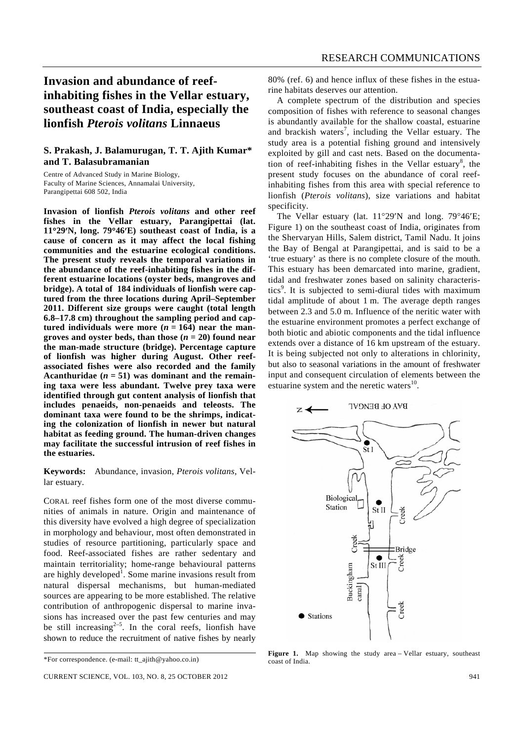## **Invasion and abundance of reefinhabiting fishes in the Vellar estuary, southeast coast of India, especially the lionfish** *Pterois volitans* **Linnaeus**

## **S. Prakash, J. Balamurugan, T. T. Ajith Kumar\* and T. Balasubramanian**

Centre of Advanced Study in Marine Biology, Faculty of Marine Sciences, Annamalai University, Parangipettai 608 502, India

**Invasion of lionfish** *Pterois volitans* **and other reef fishes in the Vellar estuary, Parangipettai (lat. 11**°**29**′**N, long. 79**°**46**′**E) southeast coast of India, is a cause of concern as it may affect the local fishing communities and the estuarine ecological conditions. The present study reveals the temporal variations in the abundance of the reef-inhabiting fishes in the different estuarine locations (oyster beds, mangroves and bridge). A total of 184 individuals of lionfish were captured from the three locations during April–September 2011. Different size groups were caught (total length 6.8–17.8 cm) throughout the sampling period and cap**tured individuals were more  $(n = 164)$  near the man**groves and oyster beds, than those**  $(n = 20)$  **found near the man-made structure (bridge). Percentage capture of lionfish was higher during August. Other reefassociated fishes were also recorded and the family**  Acanthuridae  $(n = 51)$  was dominant and the remain**ing taxa were less abundant. Twelve prey taxa were identified through gut content analysis of lionfish that includes penaeids, non-penaeids and teleosts. The dominant taxa were found to be the shrimps, indicating the colonization of lionfish in newer but natural habitat as feeding ground. The human-driven changes may facilitate the successful intrusion of reef fishes in the estuaries.** 

**Keywords:** Abundance, invasion, *Pterois volitans*, Vellar estuary.

CORAL reef fishes form one of the most diverse communities of animals in nature. Origin and maintenance of this diversity have evolved a high degree of specialization in morphology and behaviour, most often demonstrated in studies of resource partitioning, particularly space and food. Reef-associated fishes are rather sedentary and maintain territoriality; home-range behavioural patterns are highly developed<sup>1</sup>. Some marine invasions result from natural dispersal mechanisms, but human-mediated sources are appearing to be more established. The relative contribution of anthropogenic dispersal to marine invasions has increased over the past few centuries and may be still increasing $2-5$ . In the coral reefs, lionfish have shown to reduce the recruitment of native fishes by nearly

80% (ref. 6) and hence influx of these fishes in the estuarine habitats deserves our attention.

 A complete spectrum of the distribution and species composition of fishes with reference to seasonal changes is abundantly available for the shallow coastal, estuarine and brackish waters<sup>7</sup>, including the Vellar estuary. The study area is a potential fishing ground and intensively exploited by gill and cast nets. Based on the documentation of reef-inhabiting fishes in the Vellar estuary $\delta$ , the present study focuses on the abundance of coral reefinhabiting fishes from this area with special reference to lionfish (*Pterois volitans*), size variations and habitat specificity.

 The Vellar estuary (lat. 11°29′N and long. 79°46′E; Figure 1) on the southeast coast of India, originates from the Shervaryan Hills, Salem district, Tamil Nadu. It joins the Bay of Bengal at Parangipettai, and is said to be a 'true estuary' as there is no complete closure of the mouth. This estuary has been demarcated into marine, gradient, tidal and freshwater zones based on salinity characteristics<sup>9</sup>. It is subjected to semi-diural tides with maximum tidal amplitude of about 1 m. The average depth ranges between 2.3 and 5.0 m. Influence of the neritic water with the estuarine environment promotes a perfect exchange of both biotic and abiotic components and the tidal influence extends over a distance of 16 km upstream of the estuary. It is being subjected not only to alterations in chlorinity, but also to seasonal variations in the amount of freshwater input and consequent circulation of elements between the estuarine system and the neretic waters $^{10}$ .



**Figure 1.** Map showing the study area – Vellar estuary, southeast coast of India.

<sup>\*</sup>For correspondence. (e-mail: tt\_ajith@yahoo.co.in)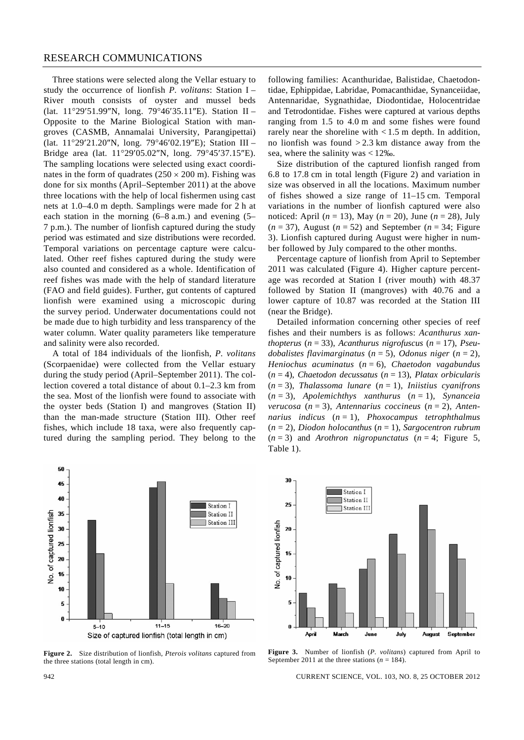Three stations were selected along the Vellar estuary to study the occurrence of lionfish *P. volitans*: Station I – River mouth consists of oyster and mussel beds (lat. 11°29′51.99″N, long. 79°46′35.11″E). Station II – Opposite to the Marine Biological Station with mangroves (CASMB, Annamalai University, Parangipettai) (lat. 11°29′21.20″N, long. 79°46′02.19″E); Station III – Bridge area (lat. 11°29′05.02″N, long. 79°45′37.15″E). The sampling locations were selected using exact coordinates in the form of quadrates  $(250 \times 200 \text{ m})$ . Fishing was done for six months (April–September 2011) at the above three locations with the help of local fishermen using cast nets at 1.0–4.0 m depth. Samplings were made for 2 h at each station in the morning (6–8 a.m.) and evening (5– 7 p.m.). The number of lionfish captured during the study period was estimated and size distributions were recorded. Temporal variations on percentage capture were calculated. Other reef fishes captured during the study were also counted and considered as a whole. Identification of reef fishes was made with the help of standard literature (FAO and field guides). Further, gut contents of captured lionfish were examined using a microscopic during the survey period. Underwater documentations could not be made due to high turbidity and less transparency of the water column. Water quality parameters like temperature and salinity were also recorded.

 A total of 184 individuals of the lionfish, *P. volitans* (Scorpaenidae) were collected from the Vellar estuary during the study period (April–September 2011). The collection covered a total distance of about 0.1–2.3 km from the sea. Most of the lionfish were found to associate with the oyster beds (Station I) and mangroves (Station II) than the man-made structure (Station III). Other reef fishes, which include 18 taxa, were also frequently captured during the sampling period. They belong to the following families: Acanthuridae, Balistidae, Chaetodontidae, Ephippidae, Labridae, Pomacanthidae, Synanceiidae, Antennaridae, Sygnathidae, Diodontidae, Holocentridae and Tetrodontidae. Fishes were captured at various depths ranging from 1.5 to 4.0 m and some fishes were found rarely near the shoreline with  $< 1.5$  m depth. In addition, no lionfish was found  $> 2.3$  km distance away from the sea, where the salinity was < 12‰.

 Size distribution of the captured lionfish ranged from 6.8 to 17.8 cm in total length (Figure 2) and variation in size was observed in all the locations. Maximum number of fishes showed a size range of 11–15 cm. Temporal variations in the number of lionfish captured were also noticed: April (*n* = 13), May (*n* = 20), June (*n* = 28), July  $(n = 37)$ , August  $(n = 52)$  and September  $(n = 34)$ ; Figure 3). Lionfish captured during August were higher in number followed by July compared to the other months.

 Percentage capture of lionfish from April to September 2011 was calculated (Figure 4). Higher capture percentage was recorded at Station I (river mouth) with 48.37 followed by Station II (mangroves) with 40.76 and a lower capture of 10.87 was recorded at the Station III (near the Bridge).

 Detailed information concerning other species of reef fishes and their numbers is as follows: *Acanthurus xanthopterus* (*n* = 33), *Acanthurus nigrofuscus* (*n* = 17), *Pseudobalistes flavimarginatus* (*n* = 5), *Odonus niger* (*n* = 2), *Heniochus acuminatus* (*n* = 6), *Chaetodon vagabundus*  (*n* = 4), *Chaetodon decussatus* (*n* = 13), *Platax orbicularis*  (*n* = 3), *Thalassoma lunare* (*n* = 1), *Iniistius cyanifrons*  (*n* = 3), *Apolemichthys xanthurus* (*n* = 1), *Synanceia verucosa* (*n* = 3), *Antennarius coccineus* (*n* = 2), *Antennarius indicus* (*n* = 1), *Phoxocampus tetrophthalmus*  (*n* = 2), *Diodon holocanthus* (*n* = 1), *Sargocentron rubrum*   $(n=3)$  and *Arothron nigropunctatus*  $(n=4;$  Figure 5, Table 1).



**Figure 2.** Size distribution of lionfish, *Pterois volitans* captured from the three stations (total length in cm).



**Figure 3.** Number of lionfish (*P. volitans*) captured from April to September 2011 at the three stations ( $n = 184$ ).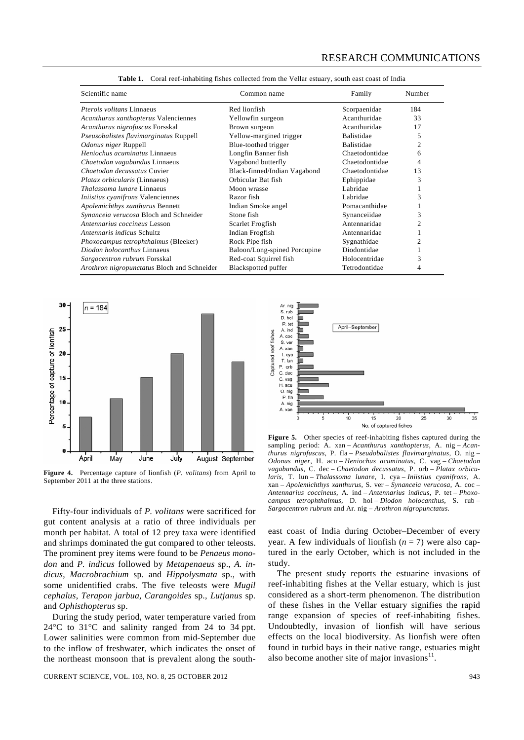| Scientific name                             | Common name                  | Family            | Number         |
|---------------------------------------------|------------------------------|-------------------|----------------|
| <i>Pterois volitans</i> Linnaeus            | Red lionfish                 | Scorpaenidae      | 184            |
| Acanthurus xanthopterus Valenciennes        | Yellowfin surgeon            | Acanthuridae      | 33             |
| Acanthurus nigrofuscus Forsskal             | Brown surgeon                | Acanthuridae      | 17             |
| Pseusobalistes flavimarginatus Ruppell      | Yellow-margined trigger      | <b>Balistidae</b> | 5              |
| Odonus niger Ruppell                        | Blue-toothed trigger         | <b>Balistidae</b> | 2              |
| Heniochus acuminatus Linnaeus               | Longfin Banner fish          | Chaetodontidae    | 6              |
| Chaetodon vagabundus Linnaeus               | Vagabond butterfly           | Chaetodontidae    | 4              |
| Chaetodon decussatus Cuvier                 | Black-finned/Indian Vagabond | Chaetodontidae    | 13             |
| Platax orbicularis (Linnaeus)               | Orbicular Bat fish           | Ephippidae        | 3              |
| <i>Thalassoma lunare Linnaeus</i>           | Moon wrasse                  | Labridae          |                |
| <i>Iniistius cyanifrons</i> Valenciennes    | Razor fish                   | Labridae          | 3              |
| Apolemichthys xanthurus Bennett             | Indian Smoke angel           | Pomacanthidae     |                |
| Synanceia verucosa Bloch and Schneider      | Stone fish                   | Synanceiidae      | 3              |
| Antennarius coccineus Lesson                | Scarlet Frogfish             | Antennaridae      | $\overline{c}$ |
| Antennaris indicus Schultz                  | Indian Frogfish              | Antennaridae      |                |
| Phoxocampus tetrophthalmus (Bleeker)        | Rock Pipe fish               | Sygnathidae       | 2              |
| Diodon holocanthus Linnaeus                 | Baloon/Long-spined Porcupine | Diodontidae       |                |
| Sargocentron rubrum Forsskal                | Red-coat Squirrel fish       | Holocentridae     | 3              |
| Arothron nigropunctatus Bloch and Schneider | Blackspotted puffer          | Tetrodontidae     | 4              |

**Table 1.** Coral reef-inhabiting fishes collected from the Vellar estuary, south east coast of India



**Figure 4.** Percentage capture of lionfish (*P. volitans*) from April to September 2011 at the three stations.

 Fifty-four individuals of *P. volitans* were sacrificed for gut content analysis at a ratio of three individuals per month per habitat. A total of 12 prey taxa were identified and shrimps dominated the gut compared to other teleosts. The prominent prey items were found to be *Penaeus monodon* and *P. indicus* followed by *Metapenaeus* sp., *A. indicus*, *Macrobrachium* sp. and *Hippolysmata* sp., with some unidentified crabs. The five teleosts were *Mugil cephalus*, *Terapon jarbua*, *Carangoides* sp., *Lutjanus* sp. and *Ophisthopterus* sp.

 During the study period, water temperature varied from 24°C to 31°C and salinity ranged from 24 to 34 ppt. Lower salinities were common from mid-September due to the inflow of freshwater, which indicates the onset of the northeast monsoon that is prevalent along the south-

CURRENT SCIENCE, VOL. 103, NO. 8, 25 OCTOBER 2012 943



Figure 5. Other species of reef-inhabiting fishes captured during the sampling period: A. xan – *Acanthurus xanthopterus*, A. nig – *Acanthurus nigrofuscus*, P. fla – *Pseudobalistes flavimarginatus*, O. nig – *Odonus niger*, H. acu – *Heniochus acuminatus*, C. vag – *Chaetodon vagabundus*, C. dec – *Chaetodon decussatus*, P. orb – *Platax orbicularis*, T. lun – *Thalassoma lunare*, I. cya – *Iniistius cyanifrons*, A. xan – *Apolemichthys xanthurus*, S. ver – *Synanceia verucosa*, A. coc – *Antennarius coccineus*, A. ind *– Antennarius indicus*, P. tet – *Phoxocampus tetrophthalmus*, D. hol – *Diodon holocanthus*, S. rub – *Sargocentron rubrum* and Ar. nig – *Arothron nigropunctatus.* 

east coast of India during October–December of every year. A few individuals of lionfish  $(n = 7)$  were also captured in the early October, which is not included in the study.

The present study reports the estuarine invasions of reef-inhabiting fishes at the Vellar estuary, which is just considered as a short-term phenomenon. The distribution of these fishes in the Vellar estuary signifies the rapid range expansion of species of reef-inhabiting fishes. Undoubtedly, invasion of lionfish will have serious effects on the local biodiversity. As lionfish were often found in turbid bays in their native range, estuaries might also become another site of major invasions $11$ .